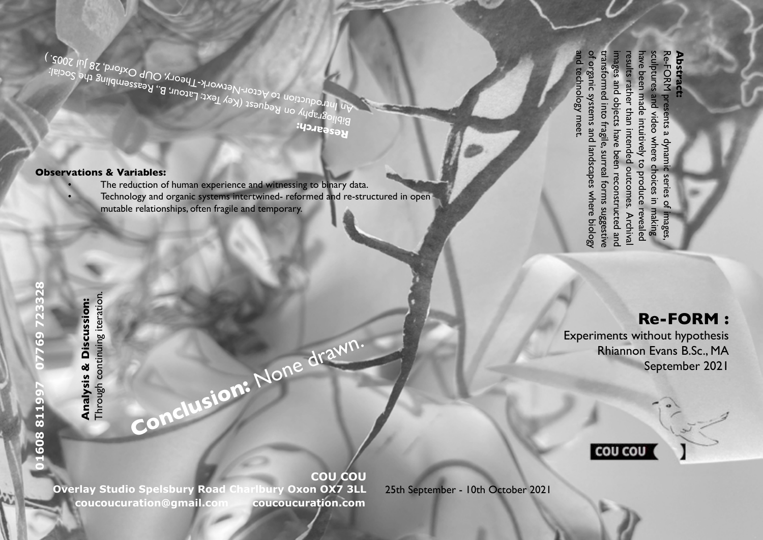Bibliography on Request (Key Text: Latour, B., Reassembling the Social:<br>An Introduction to Actor-Network-Theour, B., Reassembling the Social:<br>http://www.com/stor-Network-Theory. Oup Oxford and Social:<br>is in the Social: An Introduction to Actor-Network-Theory, OUP Oxford, 28 Jul 2005. )<br>An Introduction to Actor-Network-Theory, OUP Oxford, 28 Jul 2005. )<br>An Introduction to Actor-Network-Theory, OUP Oxford, 28 Jul 2005. )

## **Observations & Variables:**

- The reduction of human experience and witnessing to binary data.
- Technology and organic systems intertwined- reformed and re-structured in open mutable relationships, often fragile and temporary.

**Conclusion:** None drawn.

**Research:** 

of organic systems and landscapes where biology sculptures and video where choices in making Re-FORM presents a dynamic series of transformed into fragile, surreal forms suggestive transformed into fragile, surreal forms suggestive images and objects have been reconstructed and images and objects have been reconstructed and results rather than intended outcomes. Archival have been made intuitively to produce revealed have been made intuitively to produce revealed sculptures and video where choices in making Re-FORM presents a dynamic series of images, results rather than intended outcomes. Archiva

and technology meet.

d technology meet.

of organic systems and landscapes where biology

## **Re-FORM :**

mages

**Abstract:** 

**Abstract:** 

Experiments without hypothesis Rhiannon Evans B.Sc., MA September 2021



Through continuing iteration. **Analysis & Discussion:**<br>Through continuing iteration. **Analysis & Discussion:** 

160881199

769723328

**COU COU Overlay Studio Spelsbury Road Charlbury Oxon OX7 3LL** 25th September - 10th October 2021 **coucoucuration@gmail.com coucoucuration.com**